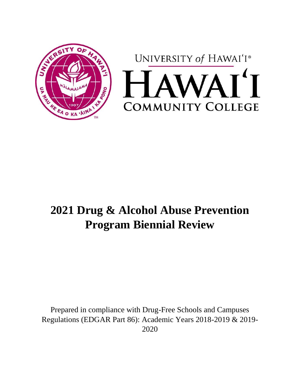



# **2021 Drug & Alcohol Abuse Prevention Program Biennial Review**

Prepared in compliance with Drug-Free Schools and Campuses Regulations (EDGAR Part 86): Academic Years 2018-2019 & 2019- 2020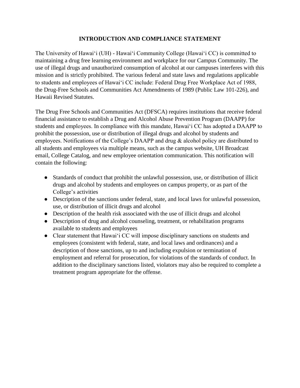## **INTRODUCTION AND COMPLIANCE STATEMENT**

The University of Hawaiʻi (UH) - Hawaiʻi Community College (Hawaiʻi CC) is committed to maintaining a drug free learning environment and workplace for our Campus Community. The use of illegal drugs and unauthorized consumption of alcohol at our campuses interferes with this mission and is strictly prohibited. The various federal and state laws and regulations applicable to students and employees of Hawaiʻi CC include: Federal Drug Free Workplace Act of 1988, the Drug-Free Schools and Communities Act Amendments of 1989 (Public Law 101-226), and Hawaii Revised Statutes.

The Drug Free Schools and Communities Act (DFSCA) requires institutions that receive federal financial assistance to establish a Drug and Alcohol Abuse Prevention Program (DAAPP) for students and employees. In compliance with this mandate, Hawaiʻi CC has adopted a DAAPP to prohibit the possession, use or distribution of illegal drugs and alcohol by students and employees. Notifications of the College's DAAPP and drug & alcohol policy are distributed to all students and employees via multiple means, such as the campus website, UH Broadcast email, College Catalog, and new employee orientation communication. This notification will contain the following:

- Standards of conduct that prohibit the unlawful possession, use, or distribution of illicit drugs and alcohol by students and employees on campus property, or as part of the College's activities
- Description of the sanctions under federal, state, and local laws for unlawful possession, use, or distribution of illicit drugs and alcohol
- Description of the health risk associated with the use of illicit drugs and alcohol
- Description of drug and alcohol counseling, treatment, or rehabilitation programs available to students and employees
- Clear statement that Hawai<sup>'</sup> i CC will impose disciplinary sanctions on students and employees (consistent with federal, state, and local laws and ordinances) and a description of those sanctions, up to and including expulsion or termination of employment and referral for prosecution, for violations of the standards of conduct. In addition to the disciplinary sanctions listed, violators may also be required to complete a treatment program appropriate for the offense.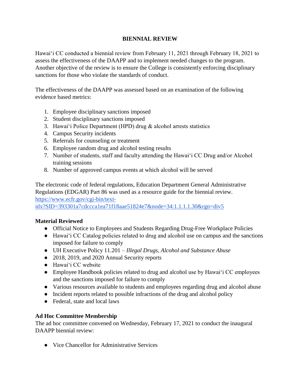## **BIENNIAL REVIEW**

Hawaiʻi CC conducted a biennial review from February 11, 2021 through February 18, 2021 to assess the effectiveness of the DAAPP and to implement needed changes to the program. Another objective of the review is to ensure the College is consistently enforcing disciplinary sanctions for those who violate the standards of conduct.

The effectiveness of the DAAPP was assessed based on an examination of the following evidence based metrics:

- 1. Employee disciplinary sanctions imposed
- 2. Student disciplinary sanctions imposed
- 3. Hawaiʻi Police Department (HPD) drug & alcohol arrests statistics
- 4. Campus Security incidents
- 5. Referrals for counseling or treatment
- 6. Employee random drug and alcohol testing results
- 7. Number of students, staff and faculty attending the Hawaiʻi CC Drug and/or Alcohol training sessions
- 8. Number of approved campus events at which alcohol will be served

The electronic code of federal regulations, Education Department General Administrative Regulations (EDGAR) Part 86 was used as a resource guide for the biennial review. [https://www.ecfr.gov/cgi-bin/text-](https://www.ecfr.gov/cgi-bin/text-idx?SID=393301a7cdccca1ea71f18aae51824e7&node=34:1.1.1.1.30&rgn=div5)

[idx?SID=393301a7cdccca1ea71f18aae51824e7&node=34:1.1.1.1.30&rgn=div5](https://www.ecfr.gov/cgi-bin/text-idx?SID=393301a7cdccca1ea71f18aae51824e7&node=34:1.1.1.1.30&rgn=div5)

# **Material Reviewed**

- Official Notice to Employees and Students Regarding Drug-Free Workplace Policies
- Hawaiʻi CC Catalog policies related to drug and alcohol use on campus and the sanctions imposed for failure to comply
- UH Executive Policy 11.201 *Illegal Drugs, Alcohol and Substance Abuse*
- 2018, 2019, and 2020 Annual Security reports
- Hawaiʻi CC website
- Employee Handbook policies related to drug and alcohol use by Hawaiʻi CC employees and the sanctions imposed for failure to comply
- Various resources available to students and employees regarding drug and alcohol abuse
- Incident reports related to possible infractions of the drug and alcohol policy
- Federal, state and local laws

## **Ad Hoc Committee Membership**

The ad hoc committee convened on Wednesday, February 17, 2021 to conduct the inaugural DAAPP biennial review:

● Vice Chancellor for Administrative Services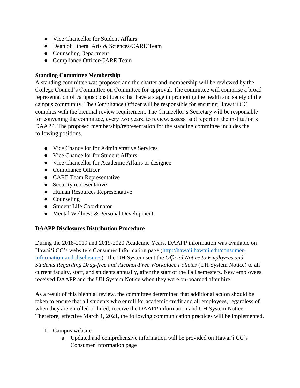- Vice Chancellor for Student Affairs
- Dean of Liberal Arts & Sciences/CARE Team
- Counseling Department
- Compliance Officer/CARE Team

## **Standing Committee Membership**

A standing committee was proposed and the charter and membership will be reviewed by the College Council's Committee on Committee for approval. The committee will comprise a broad representation of campus constituents that have a stage in promoting the health and safety of the campus community. The Compliance Officer will be responsible for ensuring Hawaiʻi CC complies with the biennial review requirement. The Chancellor's Secretary will be responsible for convening the committee, every two years, to review, assess, and report on the institution's DAAPP. The proposed membership/representation for the standing committee includes the following positions.

- Vice Chancellor for Administrative Services
- Vice Chancellor for Student Affairs
- Vice Chancellor for Academic Affairs or designee
- Compliance Officer
- CARE Team Representative
- Security representative
- Human Resources Representative
- Counseling
- Student Life Coordinator
- Mental Wellness & Personal Development

## **DAAPP Disclosures Distribution Procedure**

During the 2018-2019 and 2019-2020 Academic Years, DAAPP information was available on Hawaiʻi CC's website's Consumer Information page [\(http://hawaii.hawaii.edu/consumer](http://hawaii.hawaii.edu/consumer-information-and-disclosures)[information-and-disclosures\)](http://hawaii.hawaii.edu/consumer-information-and-disclosures). The UH System sent the *Official Notice to Employees and Students Regarding Drug-free and Alcohol-Free Workplace Policies* (UH System Notice) to all current faculty, staff, and students annually, after the start of the Fall semesters. New employees received DAAPP and the UH System Notice when they were on-boarded after hire.

As a result of this biennial review, the committee determined that additional action should be taken to ensure that all students who enroll for academic credit and all employees, regardless of when they are enrolled or hired, receive the DAAPP information and UH System Notice. Therefore, effective March 1, 2021, the following communication practices will be implemented.

- 1. Campus website
	- a. Updated and comprehensive information will be provided on Hawaiʻi CC's Consumer Information page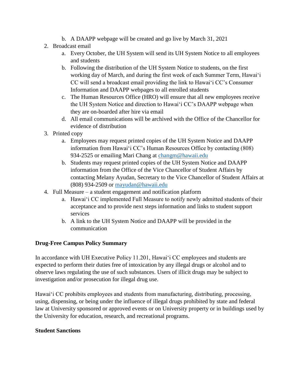- b. A DAAPP webpage will be created and go live by March 31, 2021
- 2. Broadcast email
	- a. Every October, the UH System will send its UH System Notice to all employees and students
	- b. Following the distribution of the UH System Notice to students, on the first working day of March, and during the first week of each Summer Term, Hawaiʻi CC will send a broadcast email providing the link to Hawaiʻi CC's Consumer Information and DAAPP webpages to all enrolled students
	- c. The Human Resources Office (HRO) will ensure that all new employees receive the UH System Notice and direction to Hawaiʻi CC's DAAPP webpage when they are on-boarded after hire via email
	- d. All email communications will be archived with the Office of the Chancellor for evidence of distribution
- 3. Printed copy
	- a. Employees may request printed copies of the UH System Notice and DAAPP information from Hawaiʻi CC's Human Resources Office by contacting (808) 934-2525 or emailing Mari Chang at [changm@hawaii.edu](mailto:changm@hawaii.edu)
	- b. Students may request printed copies of the UH System Notice and DAAPP information from the Office of the Vice Chancellor of Student Affairs by contacting Melany Ayudan, Secretary to the Vice Chancellor of Student Affairs at (808) 934-2509 or [mayudan@hawaii.edu](mailto:mayudan@hawaii.edu)
- 4. Full Measure a student engagement and notification platform
	- a. Hawaiʻi CC implemented Full Measure to notify newly admitted students of their acceptance and to provide next steps information and links to student support services
	- b. A link to the UH System Notice and DAAPP will be provided in the communication

## **Drug-Free Campus Policy Summary**

In accordance with UH Executive Policy 11.201, Hawaiʻi CC employees and students are expected to perform their duties free of intoxication by any illegal drugs or alcohol and to observe laws regulating the use of such substances. Users of illicit drugs may be subject to investigation and/or prosecution for illegal drug use.

Hawaiʻi CC prohibits employees and students from manufacturing, distributing, processing, using, dispensing, or being under the influence of illegal drugs prohibited by state and federal law at University sponsored or approved events or on University property or in buildings used by the University for education, research, and recreational programs.

## **Student Sanctions**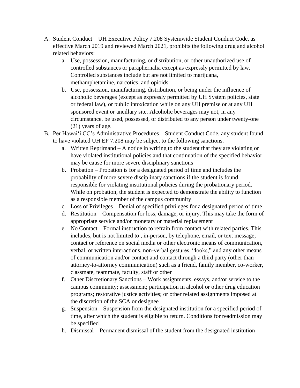- A. Student Conduct UH Executive Policy 7.208 Systemwide Student Conduct Code, as effective March 2019 and reviewed March 2021, prohibits the following drug and alcohol related behaviors:
	- a. Use, possession, manufacturing, or distribution, or other unauthorized use of controlled substances or paraphernalia except as expressly permitted by law. Controlled substances include but are not limited to marijuana, methamphetamine, narcotics, and opioids.
	- b. Use, possession, manufacturing, distribution, or being under the influence of alcoholic beverages (except as expressly permitted by UH System policies, state or federal law), or public intoxication while on any UH premise or at any UH sponsored event or ancillary site. Alcoholic beverages may not, in any circumstance, be used, possessed, or distributed to any person under twenty-one (21) years of age.
- B. Per Hawaiʻi CC's Administrative Procedures Student Conduct Code, any student found to have violated UH EP 7.208 may be subject to the following sanctions.
	- a. Written Reprimand A notice in writing to the student that they are violating or have violated institutional policies and that continuation of the specified behavior may be cause for more severe disciplinary sanctions
	- b. Probation Probation is for a designated period of time and includes the probability of more severe disciplinary sanctions if the student is found responsible for violating institutional policies during the probationary period. While on probation, the student is expected to demonstrate the ability to function as a responsible member of the campus community
	- c. Loss of Privileges Denial of specified privileges for a designated period of time
	- d. Restitution Compensation for loss, damage, or injury. This may take the form of appropriate service and/or monetary or material replacement
	- e. No Contact Formal instruction to refrain from contact with related parties. This includes, but is not limited to , in-person, by telephone, email, or text message; contact or reference on social media or other electronic means of communication, verbal, or written interactions, non-verbal gestures, "looks," and any other means of communication and/or contact and contact through a third party (other than attorney-to-attorney communication) such as a friend, family member, co-worker, classmate, teammate, faculty, staff or other
	- f. Other Discretionary Sanctions Work assignments, essays, and/or service to the campus community; assessment; participation in alcohol or other drug education programs; restorative justice activities; or other related assignments imposed at the discretion of the SCA or designee
	- g. Suspension Suspension from the designated institution for a specified period of time, after which the student is eligible to return. Conditions for readmission may be specified
	- h. Dismissal Permanent dismissal of the student from the designated institution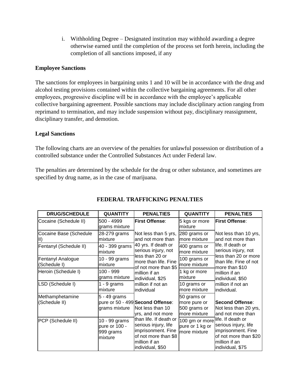i. Withholding Degree – Designated institution may withhold awarding a degree otherwise earned until the completion of the process set forth herein, including the completion of all sanctions imposed, if any

#### **Employee Sanctions**

The sanctions for employees in bargaining units 1 and 10 will be in accordance with the drug and alcohol testing provisions contained within the collective bargaining agreements. For all other employees, progressive discipline will be in accordance with the employee's applicable collective bargaining agreement. Possible sanctions may include disciplinary action ranging from reprimand to termination, and may include suspension without pay, disciplinary reassignment, disciplinary transfer, and demotion.

#### **Legal Sanctions**

The following charts are an overview of the penalties for unlawful possession or distribution of a controlled substance under the Controlled Substances Act under Federal law.

The penalties are determined by the schedule for the drug or other substance, and sometimes are specified by drug name, as in the case of marijuana.

| <b>DRUG/SCHEDULE</b>              | <b>QUANTITY</b>                                        | <b>PENALTIES</b>                                                                                                                  | <b>QUANTITY</b>                                                     | <b>PENALTIES</b>                                                                                         |
|-----------------------------------|--------------------------------------------------------|-----------------------------------------------------------------------------------------------------------------------------------|---------------------------------------------------------------------|----------------------------------------------------------------------------------------------------------|
| Cocaine (Schedule II)             | 500 - 4999<br>grams mixture                            | <b>First Offense:</b>                                                                                                             | 5 kgs or more<br>lmixture                                           | <b>First Offense:</b>                                                                                    |
| Cocaine Base (Schedule            | 28-279 grams<br>lmixture                               | Not less than 5 yrs,<br>and not more than                                                                                         | 280 grams or<br>more mixture                                        | Not less than 10 yrs,<br>and not more than                                                               |
| Fentanyl (Schedule II)            | 40 - 399 grams<br>mixture                              | 40 yrs. If death or<br>serious injury, not                                                                                        | 400 grams or<br>more mixture                                        | life. If death or<br>serious injury, not                                                                 |
| Fentanyl Analogue<br>(Schedule I) | 10 - 99 grams<br>mixture                               | less than 20 or<br>more than life. Fine<br>of not more than \$5                                                                   | 100 grams or<br>more mixture                                        | less than 20 or more<br>than life. Fine of not<br>more than \$10                                         |
| Heroin (Schedule I)               | 100 - 999<br>grams mixture                             | lmillion if an<br>individual, \$25                                                                                                | 1 kg or more<br>lmixture                                            | million if an<br>individual, \$50                                                                        |
| LSD (Schedule I)                  | $1 - 9$ grams<br>Imixture                              | million if not an<br>individual                                                                                                   | 10 grams or<br>more mixture                                         | million if not an<br>individual.                                                                         |
| Methamphetamine<br>(Schedule II)  | 5 - 49 grams<br>grams mixture                          | pure or 50 - 499 Second Offense:<br>Not less than 10<br>yrs, and not more                                                         | 50 grams or<br>more pure or<br>500 grams or<br>more mixture         | <b>Second Offense:</b><br>Not less than 20 yrs,<br>and not more than                                     |
| PCP (Schedule II)                 | 10 - 99 grams<br>pure or 100 -<br>999 grams<br>mixture | than life. If death or<br>serious injury, life<br>imprisonment. Fine<br>of not more than \$8<br>million if an<br>individual, \$50 | 100 gm or more life. If death or<br>pure or 1 kg or<br>more mixture | serious injury, life<br>imprisonment. Fine<br>of not more than \$20<br>million if an<br>individual, \$75 |

# **FEDERAL TRAFFICKING PENALTIES**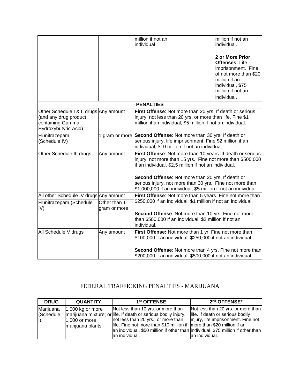|                                                                                                             |                              | million if not an<br>individual                                                                                                                                                      |  | million if not an<br>individual.                                                                                                                                 |
|-------------------------------------------------------------------------------------------------------------|------------------------------|--------------------------------------------------------------------------------------------------------------------------------------------------------------------------------------|--|------------------------------------------------------------------------------------------------------------------------------------------------------------------|
|                                                                                                             |                              |                                                                                                                                                                                      |  | 2 or More Prior<br><b>Offenses: Life</b><br>imprisonment. Fine<br>of not more than \$20<br>million if an<br>individual, \$75<br>million if not an<br>individual. |
|                                                                                                             |                              | <b>PENALTIES</b>                                                                                                                                                                     |  |                                                                                                                                                                  |
| Other Schedule I & II drugs Any amount<br>(and any drug product<br>containing Gamma<br>Hydroxybutyric Acid) |                              | First Offense: Not more than 20 yrs. If death or serious<br>injury, not less than 20 yrs, or more than life. Fine \$1<br>million if an individual, \$5 million if not an individual. |  |                                                                                                                                                                  |
| Flunitrazepam<br>(Schedule IV)                                                                              | 1 gram or more               | Second Offense: Not more than 30 yrs. If death or<br>serious injury, life imprisonment. Fine \$2 million if an<br>individual, \$10 million if not an individual                      |  |                                                                                                                                                                  |
| Other Schedule III drugs                                                                                    | Any amount                   | First Offense: Not more than 10 years. If death or serious<br>injury, not more than 15 yrs. Fine not more than \$500,000<br>if an individual, \$2.5 million if not an individual.    |  |                                                                                                                                                                  |
|                                                                                                             |                              | Second Offense: Not more than 20 yrs. If death or<br>serious injury, not more than 30 yrs. Fine not more than<br>\$1,000,000 if an individual, \$5 million if not an individual      |  |                                                                                                                                                                  |
| All other Schedule IV drugs Any amount                                                                      |                              |                                                                                                                                                                                      |  | First Offense: Not more than 5 years. Fine not more than                                                                                                         |
| Flunitrazepam (Schedule<br>IV)                                                                              | Other than 1<br>gram or more | \$250,000 if an individual, \$1 million if not an individual.<br>Second Offense: Not more than 10 yrs. Fine not more<br>than \$500,000 if an individual, \$2 million if not an       |  |                                                                                                                                                                  |
|                                                                                                             |                              | individual.                                                                                                                                                                          |  |                                                                                                                                                                  |
| All Schedule V drugs                                                                                        | Any amount                   | First Offense: Not more than 1 yr. Fine not more than<br>\$100,000 if an individual, \$250,000 if not an individual.                                                                 |  |                                                                                                                                                                  |
|                                                                                                             |                              | \$200,000 if an individual, \$500,000 if not an individual.                                                                                                                          |  | Second Offense: Not more than 4 yrs. Fine not more than                                                                                                          |

# FEDERAL TRAFFICKING PENALTIES - MARIJUANA

| <b>DRUG</b>                           | <b>QUANTITY</b>                                            | 1 <sup>st</sup> OFFENSE                                                                                                                                                                                                                                                                                                     | $2nd$ OFFENSE*                                                                                                                   |
|---------------------------------------|------------------------------------------------------------|-----------------------------------------------------------------------------------------------------------------------------------------------------------------------------------------------------------------------------------------------------------------------------------------------------------------------------|----------------------------------------------------------------------------------------------------------------------------------|
| Marijuana<br>(Schedule<br>$\parallel$ | $ 1,000$ kg or more<br>$1,000$ or more<br>marijuana plants | Not less than 10 yrs. or more than<br>marijuana mixture; or life. If death or serious bodily injury,<br>not less than 20 yrs., or more than<br>life. Fine not more than \$10 million if more than \$20 million if an<br>an individual, \$50 million if other than individual, \$75 million if other than<br>lan individual. | Not less than 20 yrs. or more than<br>life. If death or serious bodily<br>injury, life imprisonment. Fine not<br>lan individual. |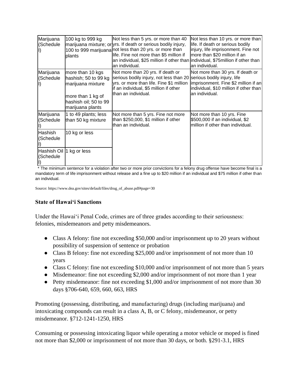| Marijuana<br>(Schedule   | 100 kg to 999 kg<br>plants                                                                                                      | Not less than 5 yrs. or more than 40<br>marijuana mixture; or yrs. If death or serious bodily injury,<br>100 to 999 marijuana not less than 20 yrs. or more than<br>life. Fine not more than \$5 million if<br>an individual, \$25 million if other than individual, \$75 million if other than<br>an individual. | Not less than 10 yrs. or more than<br>life. If death or serious bodily<br>injury, life imprisonment. Fine not<br>more than \$20 million if an<br>an individual.      |
|--------------------------|---------------------------------------------------------------------------------------------------------------------------------|-------------------------------------------------------------------------------------------------------------------------------------------------------------------------------------------------------------------------------------------------------------------------------------------------------------------|----------------------------------------------------------------------------------------------------------------------------------------------------------------------|
| Marijuana<br>(Schedule   | more than 10 kgs<br>hashish; 50 to 99 kg<br>marijuana mixture<br>more than 1 kg of<br>hashish oil; 50 to 99<br>marijuana plants | Not more than 20 yrs. If death or<br>serious bodily injury, not less than 20<br>yrs. or more than life. Fine \$1 million<br>if an individual, \$5 million if other<br>lthan an individual.                                                                                                                        | Not more than 30 yrs. If death or<br>serious bodily injury, life<br>imprisonment. Fine \$2 million if an<br>individual, \$10 million if other than<br>an individual. |
| Marijuana<br>(Schedule   | 1 to 49 plants; less<br>than 50 kg mixture                                                                                      | Not more than 5 yrs. Fine not more<br>than \$250,000, \$1 million if other<br>lthan an individual.                                                                                                                                                                                                                | Not more than 10 yrs. Fine<br>\$500,000 if an individual, \$2<br>million if other than individual.                                                                   |
| Hashish<br>(Schedule     | 10 kg or less                                                                                                                   |                                                                                                                                                                                                                                                                                                                   |                                                                                                                                                                      |
| Hashish Oil<br>(Schedule | 1 kg or less                                                                                                                    |                                                                                                                                                                                                                                                                                                                   |                                                                                                                                                                      |

\* The minimum sentence for a violation after two or more prior convictions for a felony drug offense have become final is a mandatory term of life imprisonment without release and a fine up to \$20 million if an individual and \$75 million if other than an individual.

Source: https://www.dea.gov/sites/default/files/drug\_of\_abuse.pdf#page=30

#### **State of Hawaiʻi Sanctions**

Under the Hawaiʻi Penal Code, crimes are of three grades according to their seriousness: felonies, misdemeanors and petty misdemeanors.

- Class A felony: fine not exceeding \$50,000 and/or imprisonment up to 20 years without possibility of suspension of sentence or probation
- Class B felony: fine not exceeding \$25,000 and/or imprisonment of not more than 10 years
- Class C felony: fine not exceeding \$10,000 and/or imprisonment of not more than 5 years
- Misdemeanor: fine not exceeding \$2,000 and/or imprisonment of not more than 1 year
- Petty misdemeanor: fine not exceeding \$1,000 and/or imprisonment of not more than 30 days §706-640, 659, 660, 663, HRS

Promoting (possessing, distributing, and manufacturing) drugs (including marijuana) and intoxicating compounds can result in a class A, B, or C felony, misdemeanor, or petty misdemeanor. §712-1241-1250, HRS

Consuming or possessing intoxicating liquor while operating a motor vehicle or moped is fined not more than \$2,000 or imprisonment of not more than 30 days, or both. §291-3.1, HRS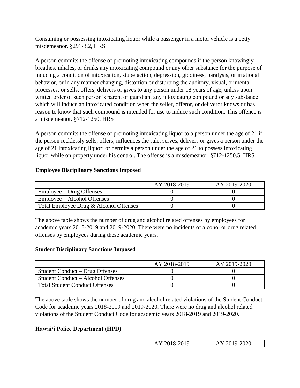Consuming or possessing intoxicating liquor while a passenger in a motor vehicle is a petty misdemeanor. §291-3.2, HRS

A person commits the offense of promoting intoxicating compounds if the person knowingly breathes, inhales, or drinks any intoxicating compound or any other substance for the purpose of inducing a condition of intoxication, stupefaction, depression, giddiness, paralysis, or irrational behavior, or in any manner changing, distortion or disturbing the auditory, visual, or mental processes; or sells, offers, delivers or gives to any person under 18 years of age, unless upon written order of such person's parent or guardian, any intoxicating compound or any substance which will induce an intoxicated condition when the seller, offeror, or deliveror knows or has reason to know that such compound is intended for use to induce such condition. This offence is a misdemeanor. §712-1250, HRS

A person commits the offense of promoting intoxicating liquor to a person under the age of 21 if the person recklessly sells, offers, influences the sale, serves, delivers or gives a person under the age of 21 intoxicating liquor; or permits a person under the age of 21 to possess intoxicating liquor while on property under his control. The offense is a misdemeanor. §712-1250.5, HRS

## **Employee Disciplinary Sanctions Imposed**

|                                        | AY 2018-2019 | AY 2019-2020 |
|----------------------------------------|--------------|--------------|
| Employee – Drug Offenses               |              |              |
| Employee – Alcohol Offenses            |              |              |
| Total Employee Drug & Alcohol Offenses |              |              |

The above table shows the number of drug and alcohol related offenses by employees for academic years 2018-2019 and 2019-2020. There were no incidents of alcohol or drug related offenses by employees during these academic years.

## **Student Disciplinary Sanctions Imposed**

|                                       | AY 2018-2019 | AY 2019-2020 |
|---------------------------------------|--------------|--------------|
| Student Conduct – Drug Offenses       |              |              |
| Student Conduct – Alcohol Offenses    |              |              |
| <b>Total Student Conduct Offenses</b> |              |              |

The above table shows the number of drug and alcohol related violations of the Student Conduct Code for academic years 2018-2019 and 2019-2020. There were no drug and alcohol related violations of the Student Conduct Code for academic years 2018-2019 and 2019-2020.

# **Hawaiʻi Police Department (HPD)**

| .,<br>.,<br>$\sim$ u<br>111 2010 2017 | 2020<br>⊸<br>⊷<br>$-1 - 1$<br>_____ |
|---------------------------------------|-------------------------------------|
|                                       |                                     |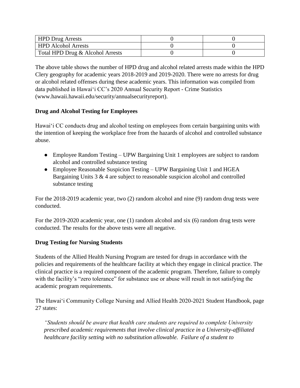| <b>HPD Drug Arrests</b>          |  |
|----------------------------------|--|
| <b>HPD</b> Alcohol Arrests       |  |
| Total HPD Drug & Alcohol Arrests |  |

The above table shows the number of HPD drug and alcohol related arrests made within the HPD Clery geography for academic years 2018-2019 and 2019-2020. There were no arrests for drug or alcohol related offenses during these academic years. This information was compiled from data published in Hawaiʻi CC's 2020 Annual Security Report - Crime Statistics (www.hawaii.hawaii.edu/security/annualsecurityreport).

# **Drug and Alcohol Testing for Employees**

Hawaiʻi CC conducts drug and alcohol testing on employees from certain bargaining units with the intention of keeping the workplace free from the hazards of alcohol and controlled substance abuse.

- Employee Random Testing UPW Bargaining Unit 1 employees are subject to random alcohol and controlled substance testing
- Employee Reasonable Suspicion Testing UPW Bargaining Unit 1 and HGEA Bargaining Units  $3 \& 4$  are subject to reasonable suspicion alcohol and controlled substance testing

For the 2018-2019 academic year, two (2) random alcohol and nine (9) random drug tests were conducted.

For the 2019-2020 academic year, one (1) random alcohol and six (6) random drug tests were conducted. The results for the above tests were all negative.

# **Drug Testing for Nursing Students**

Students of the Allied Health Nursing Program are tested for drugs in accordance with the policies and requirements of the healthcare facility at which they engage in clinical practice. The clinical practice is a required component of the academic program. Therefore, failure to comply with the facility's "zero tolerance" for substance use or abuse will result in not satisfying the academic program requirements.

The Hawaiʻi Community College Nursing and Allied Health 2020-2021 Student Handbook, page 27 states:

*"Students should be aware that health care students are required to complete University prescribed academic requirements that involve clinical practice in a University-affiliated healthcare facility setting with no substitution allowable. Failure of a student to*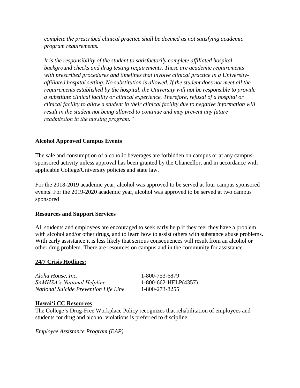*complete the prescribed clinical practice shall be deemed as not satisfying academic program requirements.*

*It is the responsibility of the student to satisfactorily complete affiliated hospital background checks and drug testing requirements. These are academic requirements with prescribed procedures and timelines that involve clinical practice in a Universityaffiliated hospital setting. No substitution is allowed. If the student does not meet all the requirements established by the hospital, the University will not be responsible to provide a substitute clinical facility or clinical experience. Therefore, refusal of a hospital or clinical facility to allow a student in their clinical facility due to negative information will result in the student not being allowed to continue and may prevent any future readmission in the nursing program."*

## **Alcohol Approved Campus Events**

The sale and consumption of alcoholic beverages are forbidden on campus or at any campussponsored activity unless approval has been granted by the Chancellor, and in accordance with applicable College/University policies and state law.

For the 2018-2019 academic year, alcohol was approved to be served at four campus sponsored events. For the 2019-2020 academic year, alcohol was approved to be served at two campus sponsored

## **Resources and Support Services**

All students and employees are encouraged to seek early help if they feel they have a problem with alcohol and/or other drugs, and to learn how to assist others with substance abuse problems. With early assistance it is less likely that serious consequences will result from an alcohol or other drug problem. There are resources on campus and in the community for assistance.

## **24/7 Crisis Hotlines:**

*Aloha House, Inc.* 1-800-753-6879 *SAMHSA's National Helpline* 1-800-662-HELP(4357) *National Suicide Prevention Life Line* 1-800-273-8255

## **Hawaiʻi CC Resources**

The College's Drug-Free Workplace Policy recognizes that rehabilitation of employees and students for drug and alcohol violations is preferred to discipline.

*Employee Assistance Program (EAP)*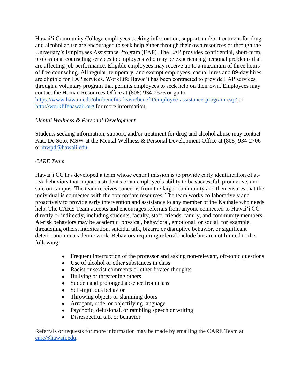Hawaiʻi Community College employees seeking information, support, and/or treatment for drug and alcohol abuse are encouraged to seek help either through their own resources or through the University's Employees Assistance Program (EAP). The EAP provides confidential, short-term, professional counseling services to employees who may be experiencing personal problems that are affecting job performance. Eligible employees may receive up to a maximum of three hours of free counseling. All regular, temporary, and exempt employees, casual hires and 89-day hires are eligible for EAP services. WorkLife Hawaiʻi has been contracted to provide EAP services through a voluntary program that permits employees to seek help on their own. Employees may contact the Human Resources Office at (808) 934-2525 or go to <https://www.hawaii.edu/ohr/benefits-leave/benefit/employee-assistance-program-eap/> or [http://worklifehawaii.org](http://worklifehawaii.org/) for more information.

## *Mental Wellness & Personal Development*

Students seeking information, support, and/or treatment for drug and alcohol abuse may contact Kate De Soto, MSW at the Mental Wellness & Personal Development Office at (808) 934-2706 or [mwpd@hawaii.edu.](mailto:mwpd@hawaii.edu)

# *CARE Team*

Hawaiʻi CC has developed a team whose central mission is to provide early identification of atrisk behaviors that impact a student's or an employee's ability to be successful, productive, and safe on campus. The team receives concerns from the larger community and then ensures that the individual is connected with the appropriate resources. The team works collaboratively and proactively to provide early intervention and assistance to any member of the Kauhale who needs help. The CARE Team accepts and encourages referrals from anyone connected to Hawaiʻi CC directly or indirectly, including students, faculty, staff, friends, family, and community members. At-risk behaviors may be academic, physical, behavioral, emotional, or social, for example, threatening others, intoxication, suicidal talk, bizarre or disruptive behavior, or significant deterioration in academic work. Behaviors requiring referral include but are not limited to the following:

- Frequent interruption of the professor and asking non-relevant, off-topic questions
- Use of alcohol or other substances in class
- Racist or sexist comments or other fixated thoughts
- Bullying or threatening others
- Sudden and prolonged absence from class
- Self-injurious behavior
- Throwing objects or slamming doors
- Arrogant, rude, or objectifying language
- Psychotic, delusional, or rambling speech or writing
- Disrespectful talk or behavior

Referrals or requests for more information may be made by emailing the CARE Team at [care@hawaii.edu.](mailto:care@hawaii.edu)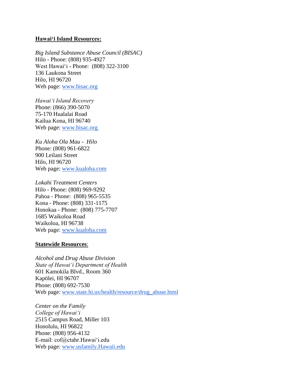#### **Hawaiʻi Island Resources:**

*Big Island Substance Abuse Council (BISAC)* Hilo - Phone: (808) 935-4927 West Hawaiʻi - Phone: (808) 322-3100 136 Laukona Street Hilo, HI 96720 Web page: [www.bisac.org](http://www.bisac.org/)

*Hawaiʻi Island Recovery* Phone: (866) 390-5070 75-170 Hualalai Road Kailua Kona, HI 96740 Web page: [www.bisac.org](http://www.bisac.org/)

*Ku Aloha Ola Mau - Hilo* Phone: (808) 961-6822 900 Leilani Street Hilo, HI 96720 Web page: [www.kualoha.com](http://www.kualoha.com/)

*Lokahi Treatment Centers* Hilo - Phone: (808) 969-9292 Pahoa - Phone: (808) 965-5535 Kona - Phone: (808) 331-1175 Honokaa - Phone: (808) 775-7707 1685 Waikoloa Road Waikoloa, HI 96738 Web page: [www.kualoha.com](http://www.kualoha.com/)

#### **Statewide Resources**:

*Alcohol and Drug Abuse Division State of Hawai'i Department of Health* 601 Kamokila Blvd., Room 360 Kapölei, HI 96707 Phone: (808) 692-7530 Web page: [www.state.hi.us/health/resource/drug\\_abuse.html](http://www.state.hi.us/health/resource/drug_abuse.html)

*Center on the Family College of Hawai'i* 2515 Campus Road, Miller 103 Honolulu, HI 96822 Phone: (808) 956-4132 E-mail: cof@ctahr.Hawaiʻi.edu Web page: [www.usfamily.Hawaii.edu](http://www.usfamily.hawaiii.edu/)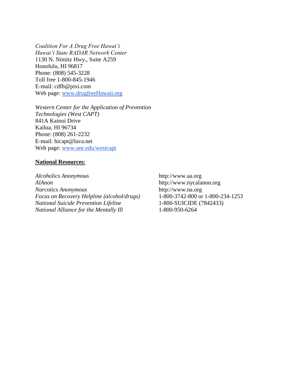*Coalition For A Drug Free Hawai'i Hawai'i State RADAR Network Center* 1130 N. Nimitz Hwy., Suite A259 Honolulu, HI 96817 Phone: (808) 545-3228 Toll free 1-800-845-1946 E-mail: cdfh@pixi.com Web page: [www.drugfreeHawaii.org](http://www.drugfreehawaii.org/)

*Western Center for the Application of Prevention Technologies (West CAPT)* 841A Kainui Drive Kailua, HI 96734 Phone: (808) 261-2232 E-mail: hicapt@lava.net Web page: [www.unr.edu/westcapt](http://www.unr.edu/westcapt)

#### **National Resources**:

*Alcoholics Anonymous* http://www.aa.org *AlAnon* http://www.nycalanon.org *Narcotics Anonymous* http://www.na.org *Focus on Recovery Helpline (alcohol/drugs)* 1-800-3742-800 or 1-800-234-1253 *National Suicide Prevention Lifeline* 1-800-SUICIDE (7842433) *National Alliance for the Mentally Ill* 1-800-950-6264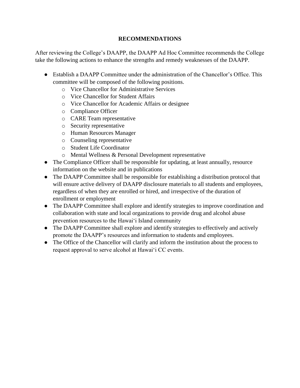## **RECOMMENDATIONS**

After reviewing the College's DAAPP, the DAAPP Ad Hoc Committee recommends the College take the following actions to enhance the strengths and remedy weaknesses of the DAAPP.

- Establish a DAAPP Committee under the administration of the Chancellor's Office. This committee will be composed of the following positions.
	- o Vice Chancellor for Administrative Services
	- o Vice Chancellor for Student Affairs
	- o Vice Chancellor for Academic Affairs or designee
	- o Compliance Officer
	- o CARE Team representative
	- o Security representative
	- o Human Resources Manager
	- o Counseling representative
	- o Student Life Coordinator
	- o Mental Wellness & Personal Development representative
- The Compliance Officer shall be responsible for updating, at least annually, resource information on the website and in publications
- The DAAPP Committee shall be responsible for establishing a distribution protocol that will ensure active delivery of DAAPP disclosure materials to all students and employees, regardless of when they are enrolled or hired, and irrespective of the duration of enrollment or employment
- The DAAPP Committee shall explore and identify strategies to improve coordination and collaboration with state and local organizations to provide drug and alcohol abuse prevention resources to the Hawaiʻi Island community
- The DAAPP Committee shall explore and identify strategies to effectively and actively promote the DAAPP's resources and information to students and employees.
- The Office of the Chancellor will clarify and inform the institution about the process to request approval to serve alcohol at Hawaiʻi CC events.